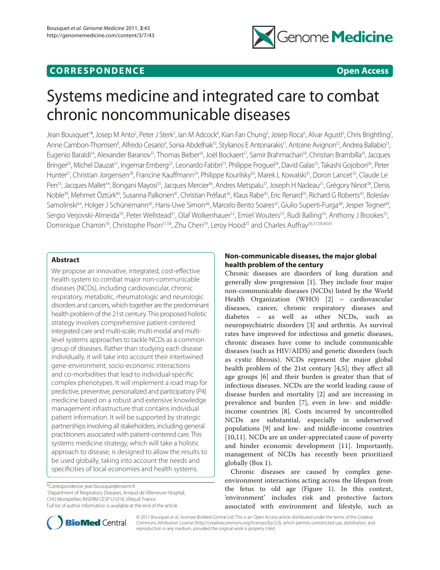# **CORRESPONDENCE Open Access**



# Systems medicine and integrated care to combat chronic noncommunicable diseases

Jean Bousquet<sup>1\*</sup>, Josep M Anto<sup>2</sup>, Peter J Sterk<sup>3</sup>, Ian M Adcock<sup>4</sup>, Kian Fan Chung<sup>5</sup>, Josep Roca<sup>6</sup>, Alvar Agusti<sup>6</sup>, Chris Brightling<sup>7</sup>, Anne Cambon-Thomsen<sup>8</sup>, Alfredo Cesario<sup>9</sup>, Sonia Abdelhak<sup>10</sup>, Stylianos E Antonarakis<sup>11</sup>, Antoine Avignon<sup>12</sup>, Andrea Ballabio<sup>13</sup>, Eugenio Baraldi<sup>14</sup>, Alexander Baranov<sup>15</sup>, Thomas Bieber<sup>16</sup>, Joël Bockaert<sup>17</sup>, Samir Brahmachari<sup>18</sup>, Christian Brambilla<sup>19</sup>, Jacques Bringer<sup>20</sup>, Michel Dauzat<sup>21</sup>, Ingemar Ernberg<sup>22</sup>, Leonardo Fabbri<sup>23</sup>, Philippe Froguel<sup>24</sup>, David Galas<sup>25</sup>, Takashi Gojobori<sup>26</sup>, Peter Hunter<sup>27</sup>, Christian Jorgensen<sup>28</sup>, Francine Kauffmann<sup>29</sup>, Philippe Kourilsky<sup>30</sup>, Marek L Kowalski<sup>31</sup>, Doron Lancet<sup>32</sup>, Claude Le Pen<sup>33</sup>, Jacques Mallet<sup>34</sup>, Bongani Mayosi<sup>35</sup>, Jacques Mercier<sup>36</sup>, Andres Metspalu<sup>37</sup>, Joseph H Nadeau<sup>25</sup>, Grégory Ninot<sup>38</sup>, Denis Noble<sup>39</sup>, Mehmet Öztürk<sup>40</sup>, Susanna Palkonen<sup>41</sup>, Christian Préfaut<sup>36</sup>, Klaus Rabe<sup>42</sup>, Eric Renard<sup>20</sup>, Richard G Roberts<sup>43</sup>, Boleslav Samolinski<sup>44</sup>, Holger J Schünemann<sup>45</sup>, Hans-Uwe Simon<sup>46</sup>, Marcelo Bento Soares<sup>47</sup>, Giulio Superti-Furga<sup>48</sup>, Jesper Tegner<sup>49</sup>, Sergio Verjovski-Almeida<sup>50</sup>, Peter Wellstead<sup>51</sup>, Olaf Wolkenhauer<sup>52</sup>, Emiel Wouters<sup>53</sup>, Rudi Balling<sup>54</sup>, Anthony J Brookes<sup>55</sup>, Dominique Charron<sup>56</sup>, Christophe Pison<sup>57,58</sup>, Zhu Chen<sup>59</sup>, Leroy Hood<sup>25</sup> and Charles Auffray<sup>56,57,58,60,61</sup>

# **Abstract**

We propose an innovative, integrated, cost-effective health system to combat major non-communicable diseases (NCDs), including cardiovascular, chronic respiratory, metabolic, rheumatologic and neurologic disorders and cancers, which together are the predominant health problem of the 21st century. This proposed holistic strategy involves comprehensive patient-centered integrated care and multi-scale, multi-modal and multilevel systems approaches to tackle NCDs as a common group of diseases. Rather than studying each disease individually, it will take into account their intertwined gene-environment, socio-economic interactions and co-morbidities that lead to individual-specific complex phenotypes. It will implement a road map for predictive, preventive, personalized and participatory (P4) medicine based on a robust and extensive knowledge management infrastructure that contains individual patient information. It will be supported by strategic partnerships involving all stakeholders, including general practitioners associated with patient-centered care. This systems medicine strategy, which will take a holistic approach to disease, is designed to allow the results to be used globally, taking into account the needs and specificities of local economies and health systems.

\*Correspondence: jean.bousquet@inserm.fr

1 Department of Respiratory Diseases, Arnaud de Villeneuve Hospital, CHU Montpellier, INSERM CESP U1018, Villejuif, France Full list of author information is available at the end of the article

# **Non-communicable diseases, the major global health problem of the century**

Chronic diseases are disorders of long duration and generally slow progression  $[1]$ . They include four major non-communicable diseases (NCDs) listed by the World Health Organization (WHO) [2] – cardiovascular diseases, cancer, chronic respiratory diseases and diabetes – as well as other NCDs, such as neuropsychiatric disorders [3] and arthritis. As survival rates have improved for infectious and genetic diseases, chronic diseases have come to include communicable diseases (such as HIV/AIDS) and genetic disorders (such as cystic fibrosis). NCDs represent the major global health problem of the 21st century [4,5]; they affect all age groups [6] and their burden is greater than that of infectious diseases. NCDs are the world leading cause of disease burden and mortality [2] and are increasing in prevalence and burden [7], even in low- and middleincome countries [8]. Costs incurred by uncontrolled NCDs are substantial, especially in underserved populations [9] and low- and middle-income countries [10,11]. NCDs are an under-appreciated cause of poverty and hinder economic development [11]. Importantly, management of NCDs has recently been prioritized globally (Box 1).

Chronic diseases are caused by complex geneenvironment interactions acting across the lifespan from the fetus to old age (Figure 1). In this context, 'environment' includes risk and protective factors associated with environment and lifestyle, such as



© 2011 Bousquet *et al.*; licensee BioMed Central Ltd. This is an Open Access article distributed under the terms of the Creative Commons Attribution License (http://creativecommons.org/licenses/by/2.0), which permits unrestricted use, distribution, and reproduction in any medium, provided the original work is properly cited.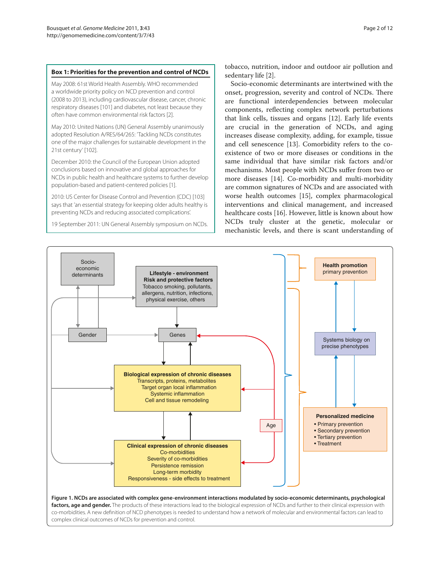# **Box 1: Priorities for the prevention and control of NCDs**

May 2008: 61st World Health Assembly. WHO recommended a worldwide priority policy on NCD prevention and control (2008 to 2013), including cardiovascular disease, cancer, chronic respiratory diseases [101] and diabetes, not least because they often have common environmental risk factors [2].

May 2010: United Nations (UN) General Assembly unanimously adopted Resolution A/RES/64/265: 'Tackling NCDs constitutes one of the major challenges for sustainable development in the 21st century' [102].

December 2010: the Council of the European Union adopted conclusions based on innovative and global approaches for NCDs in public health and healthcare systems to further develop population-based and patient-centered policies [1].

2010: US Center for Disease Control and Prevention (CDC) [103] says that 'an essential strategy for keeping older adults healthy is preventing NCDs and reducing associated complications'.

19 September 2011: UN General Assembly symposium on NCDs.

tobacco, nutrition, indoor and outdoor air pollution and sedentary life [2].

Socio-economic determinants are intertwined with the onset, progression, severity and control of NCDs. There are functional interdependencies between molecular components, reflecting complex network perturbations that link cells, tissues and organs [12]. Early life events are crucial in the generation of NCDs, and aging increases disease complexity, adding, for example, tissue and cell senescence [13]. Comorbidity refers to the coexistence of two or more diseases or conditions in the same individual that have similar risk factors and/or mechanisms. Most people with NCDs suffer from two or more diseases [14]. Co-morbidity and multi-morbidity are common signatures of NCDs and are associated with worse health outcomes [15], complex pharmacological interventions and clinical management, and increased healthcare costs [16]. However, little is known about how NCDs truly cluster at the genetic, molecular or mechanistic levels, and there is scant understanding of

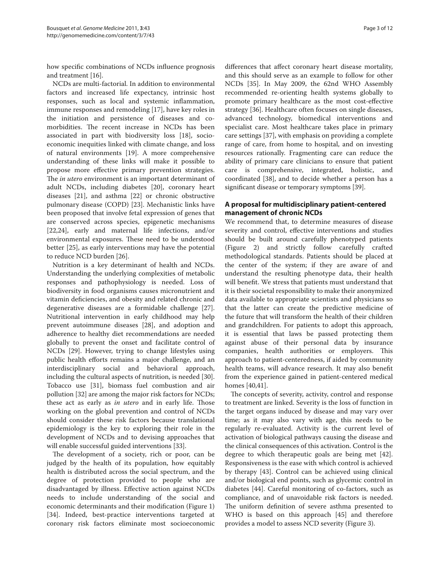how specific combinations of NCDs influence prognosis and treatment [16].

NCDs are multi-factorial. In addition to environmental factors and increased life expectancy, intrinsic host responses, such as local and systemic inflammation, immune responses and remodeling [17], have key roles in the initiation and persistence of diseases and comorbidities. The recent increase in NCDs has been associated in part with biodiversity loss [18], socioeconomic inequities linked with climate change, and loss of natural environments [19]. A more comprehensive understanding of these links will make it possible to propose more effective primary prevention strategies. The *in utero* environment is an important determinant of adult NCDs, including diabetes [20], coronary heart diseases [21], and asthma [22] or chronic obstructive pulmonary disease (COPD) [23]. Mechanistic links have been proposed that involve fetal expression of genes that are conserved across species, epigenetic mechanisms [22,24], early and maternal life infections, and/or environmental exposures. These need to be understood better [25], as early interventions may have the potential to reduce NCD burden [26].

Nutrition is a key determinant of health and NCDs. Understanding the underlying complexities of metabolic responses and pathophysiology is needed. Loss of biodiversity in food organisms causes micronutrient and vitamin deficiencies, and obesity and related chronic and degenerative diseases are a formidable challenge [27]. Nutritional intervention in early childhood may help prevent autoimmune diseases [28], and adoption and adherence to healthy diet recommendations are needed globally to prevent the onset and facilitate control of NCDs [29]. However, trying to change lifestyles using public health efforts remains a major challenge, and an interdisciplinary social and behavioral approach, including the cultural aspects of nutrition, is needed [30]. Tobacco use [31], biomass fuel combustion and air pollution [32] are among the major risk factors for NCDs; these act as early as *in utero* and in early life. Those working on the global prevention and control of NCDs should consider these risk factors because translational epidemiology is the key to exploring their role in the development of NCDs and to devising approaches that will enable successful guided interventions [33].

The development of a society, rich or poor, can be judged by the health of its population, how equitably health is distributed across the social spectrum, and the degree of protection provided to people who are disadvantaged by illness. Effective action against NCDs needs to include understanding of the social and economic determinants and their modification (Figure 1) [34]. Indeed, best-practice interventions targeted at coronary risk factors eliminate most socioeconomic differences that affect coronary heart disease mortality, and this should serve as an example to follow for other NCDs [35]. In May 2009, the 62nd WHO Assembly recommended re-orienting health systems globally to promote primary healthcare as the most cost-effective strategy [36]. Healthcare often focuses on single diseases, advanced technology, biomedical interventions and specialist care. Most healthcare takes place in primary care settings [37], with emphasis on providing a complete range of care, from home to hospital, and on investing resources rationally. Fragmenting care can reduce the ability of primary care clinicians to ensure that patient care is comprehensive, integrated, holistic, and coordinated [38], and to decide whether a person has a significant disease or temporary symptoms [39].

# **A proposal for multidisciplinary patient-centered management of chronic NCDs**

We recommend that, to determine measures of disease severity and control, effective interventions and studies should be built around carefully phenotyped patients (Figure 2) and strictly follow carefully crafted methodological standards. Patients should be placed at the center of the system; if they are aware of and understand the resulting phenotype data, their health will benefit. We stress that patients must understand that it is their societal responsibility to make their anonymized data available to appropriate scientists and physicians so that the latter can create the predictive medicine of the future that will transform the health of their children and grandchildren. For patients to adopt this approach, it is essential that laws be passed protecting them against abuse of their personal data by insurance companies, health authorities or employers. This approach to patient-centeredness, if aided by community health teams, will advance research. It may also benefit from the experience gained in patient-centered medical homes [40,41].

The concepts of severity, activity, control and response to treatment are linked. Severity is the loss of function in the target organs induced by disease and may vary over time; as it may also vary with age, this needs to be regularly re-evaluated. Activity is the current level of activation of biological pathways causing the disease and the clinical consequences of this activation. Control is the degree to which therapeutic goals are being met [42]. Responsiveness is the ease with which control is achieved by therapy [43]. Control can be achieved using clinical and/or biological end points, such as glycemic control in diabetes [44]. Careful monitoring of co-factors, such as compliance, and of unavoidable risk factors is needed. The uniform definition of severe asthma presented to WHO is based on this approach [45] and therefore provides a model to assess NCD severity (Figure 3).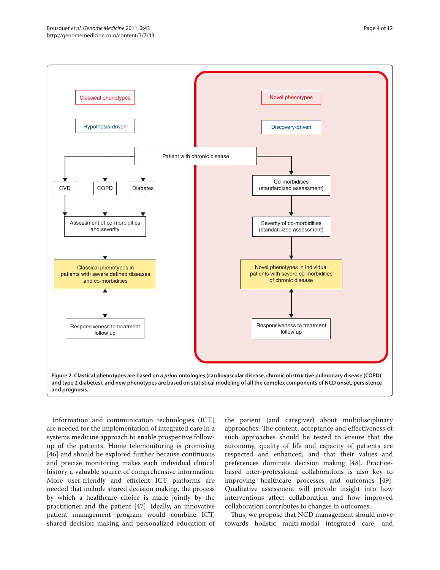

Information and communication technologies (ICT) are needed for the implementation of integrated care in a systems medicine approach to enable prospective followup of the patients. Home telemonitoring is promising [46] and should be explored further because continuous and precise monitoring makes each individual clinical history a valuable source of comprehensive information. More user-friendly and efficient ICT platforms are needed that include shared decision making, the process by which a healthcare choice is made jointly by the practitioner and the patient [47]. Ideally, an innovative patient management program would combine ICT, shared decision making and personalized education of

the patient (and caregiver) about multidisciplinary approaches. The content, acceptance and effectiveness of such approaches should be tested to ensure that the autonomy, quality of life and capacity of patients are respected and enhanced, and that their values and preferences dominate decision making [48]. Practicebased inter-professional collaborations is also key to improving healthcare processes and outcomes [49]. Qualitative assessment will provide insight into how interventions affect collaboration and how improved collaboration contributes to changes in outcomes.

Thus, we propose that NCD management should move towards holistic multi-modal integrated care, and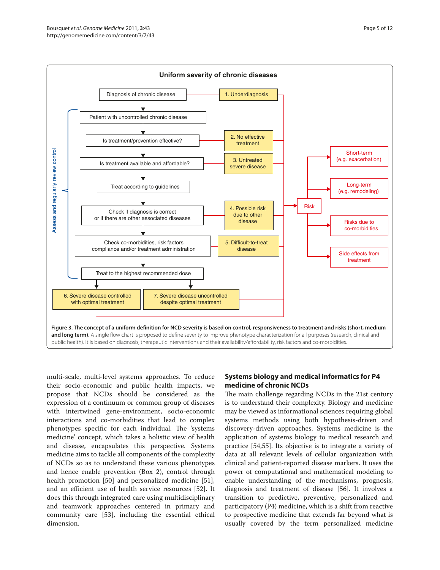

Page 5 of 12

multi-scale, multi-level systems approaches. To reduce their socio-economic and public health impacts, we propose that NCDs should be considered as the expression of a continuum or common group of diseases with intertwined gene-environment, socio-economic interactions and co-morbidities that lead to complex phenotypes specific for each individual. The 'systems medicine' concept, which takes a holistic view of health and disease, encapsulates this perspective. Systems medicine aims to tackle all components of the complexity of NCDs so as to understand these various phenotypes and hence enable prevention (Box 2), control through health promotion [50] and personalized medicine [51], and an efficient use of health service resources [52]. It does this through integrated care using multidisciplinary and teamwork approaches centered in primary and community care [53], including the essential ethical dimension.

# **Systems biology and medical informatics for P4 medicine of chronic NCDs**

The main challenge regarding NCDs in the 21st century is to understand their complexity. Biology and medicine may be viewed as informational sciences requiring global systems methods using both hypothesis-driven and discovery-driven approaches. Systems medicine is the application of systems biology to medical research and practice [54,55]. Its objective is to integrate a variety of data at all relevant levels of cellular organization with clinical and patient-reported disease markers. It uses the power of computational and mathematical modeling to enable understanding of the mechanisms, prognosis, diagnosis and treatment of disease [56]. It involves a transition to predictive, preventive, personalized and participatory (P4) medicine, which is a shift from reactive to prospective medicine that extends far beyond what is usually covered by the term personalized medicine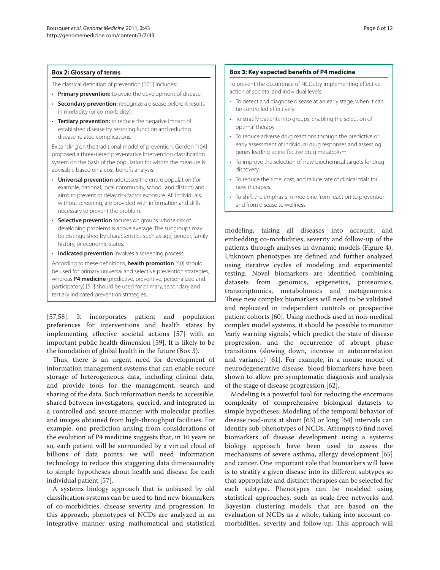The classical definition of prevention [101] includes:

- **Primary prevention:** to avoid the development of disease.
- **Secondary prevention:** recognize a disease before it results in morbidity (or co-morbidity).
- **Tertiary prevention:** to reduce the negative impact of established disease by restoring function and reducing disease-related complications.

Expanding on the traditional model of prevention, Gordon [104] proposed a three-tiered preventative intervention classification system on the basis of the population for whom the measure is advisable based on a cost-benefit analysis:

- **Universal prevention** addresses the entire population (for example, national, local community, school, and district) and aims to prevent or delay risk factor exposure. All individuals, without screening, are provided with information and skills necessary to prevent the problem.
- **Selective prevention** focuses on groups whose risk of developing problems is above average. The subgroups may be distinguished by characteristics such as age, gender, family history, or economic status.
- **Indicated prevention** involves a screening process.

According to these definitions, **health promotion** [50] should be used for primary universal and selective prevention strategies, whereas **P4 medicine** (predictive, preventive, personalized and participatory) [51] should be used for primary, secondary and tertiary indicated prevention strategies.

[57,58]. It incorporates patient and population preferences for interventions and health states by implementing effective societal actions [57] with an important public health dimension [59]. It is likely to be the foundation of global health in the future (Box 3).

Thus, there is an urgent need for development of information management systems that can enable secure storage of heterogeneous data, including clinical data, and provide tools for the management, search and sharing of the data. Such information needs to accessible, shared between investigators, queried, and integrated in a controlled and secure manner with molecular profiles and images obtained from high-throughput facilities. For example, one prediction arising from considerations of the evolution of P4 medicine suggests that, in 10 years or so, each patient will be surrounded by a virtual cloud of billions of data points; we will need information technology to reduce this staggering data dimensionality to simple hypotheses about health and disease for each individual patient [57].

A systems biology approach that is unbiased by old classification systems can be used to find new biomarkers of co-morbidities, disease severity and progression. In this approach, phenotypes of NCDs are analyzed in an integrative manner using mathematical and statistical

### **Box 3: Key expected benefits of P4 medicine**

To prevent the occurrence of NCDs by implementing effective action at societal and individual levels:

- To detect and diagnose disease at an early stage, when it can be controlled effectively.
- To stratify patients into groups, enabling the selection of optimal therapy.
- To reduce adverse drug reactions through the predictive or early assessment of individual drug responses and assessing genes leading to ineffective drug metabolism.
- To improve the selection of new biochemical targets for drug discovery.
- To reduce the time, cost, and failure rate of clinical trials for new therapies.
- To shift the emphasis in medicine from reaction to prevention and from disease to wellness.

modeling, taking all diseases into account, and embedding co-morbidities, severity and follow-up of the patients through analyses in dynamic models (Figure 4). Unknown phenotypes are defined and further analyzed using iterative cycles of modeling and experimental testing. Novel biomarkers are identified combining datasets from genomics, epigenetics, proteomics, transcriptomics, metabolomics and metagenomics. These new complex biomarkers will need to be validated and replicated in independent controls or prospective patient cohorts [60]. Using methods used in non-medical complex model systems, it should be possible to monitor 'early warning signals', which predict the state of disease progression, and the occurrence of abrupt phase transitions (slowing down, increase in autocorrelation and variance) [61]. For example, in a mouse model of neurodegenerative disease, blood biomarkers have been shown to allow pre-symptomatic diagnosis and analysis of the stage of disease progression [62].

Modeling is a powerful tool for reducing the enormous complexity of comprehensive biological datasets to simple hypotheses. Modeling of the temporal behavior of disease read-outs at short [63] or long [64] intervals can identify sub-phenotypes of NCDs. Attempts to find novel biomarkers of disease development using a systems biology approach have been used to assess the mechanisms of severe asthma, allergy development [65] and cancer. One important role that biomarkers will have is to stratify a given disease into its different subtypes so that appropriate and distinct therapies can be selected for each subtype. Phenotypes can be modeled using statistical approaches, such as scale-free networks and Bayesian clustering models, that are based on the evaluation of NCDs as a whole, taking into account comorbidities, severity and follow-up. This approach will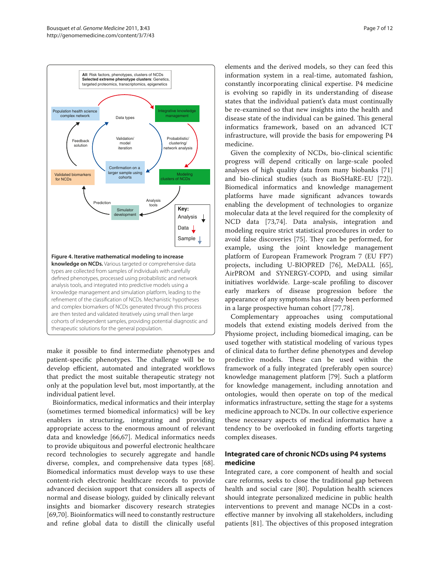

make it possible to find intermediate phenotypes and patient-specific phenotypes. The challenge will be to develop efficient, automated and integrated workflows that predict the most suitable therapeutic strategy not only at the population level but, most importantly, at the individual patient level.

Bioinformatics, medical informatics and their interplay (sometimes termed biomedical informatics) will be key enablers in structuring, integrating and providing appropriate access to the enormous amount of relevant data and knowledge [66,67]. Medical informatics needs to provide ubiquitous and powerful electronic healthcare record technologies to securely aggregate and handle diverse, complex, and comprehensive data types [68]. Biomedical informatics must develop ways to use these content-rich electronic healthcare records to provide advanced decision support that considers all aspects of normal and disease biology, guided by clinically relevant insights and biomarker discovery research strategies [69,70]. Bioinformatics will need to constantly restructure and refine global data to distill the clinically useful

elements and the derived models, so they can feed this information system in a real-time, automated fashion, constantly incorporating clinical expertise. P4 medicine is evolving so rapidly in its understanding of disease states that the individual patient's data must continually be re-examined so that new insights into the health and disease state of the individual can be gained. This general informatics framework, based on an advanced ICT infrastructure, will provide the basis for empowering P4 medicine.

Given the complexity of NCDs, bio-clinical scientific progress will depend critically on large-scale pooled analyses of high quality data from many biobanks [71] and bio-clinical studies (such as BioSHaRE-EU [72]). Biomedical informatics and knowledge management platforms have made significant advances towards enabling the development of technologies to organize molecular data at the level required for the complexity of NCD data [73,74]. Data analysis, integration and modeling require strict statistical procedures in order to avoid false discoveries [75]. They can be performed, for example, using the joint knowledge management platform of European Framework Program 7 (EU FP7) projects, including U-BIOPRED [76], MeDALL [65], AirPROM and SYNERGY-COPD, and using similar initiatives worldwide. Large-scale profiling to discover early markers of disease progression before the appearance of any symptoms has already been performed in a large prospective human cohort [77,78].

Complementary approaches using computational models that extend existing models derived from the Physiome project, including biomedical imaging, can be used together with statistical modeling of various types of clinical data to further define phenotypes and develop predictive models. These can be used within the framework of a fully integrated (preferably open source) knowledge management platform [79]. Such a platform for knowledge management, including annotation and ontologies, would then operate on top of the medical informatics infrastructure, setting the stage for a systems medicine approach to NCDs. In our collective experience these necessary aspects of medical informatics have a tendency to be overlooked in funding efforts targeting complex diseases.

# **Integrated care of chronic NCDs using P4 systems medicine**

Integrated care, a core component of health and social care reforms, seeks to close the traditional gap between health and social care [80]. Population health sciences should integrate personalized medicine in public health interventions to prevent and manage NCDs in a costeffective manner by involving all stakeholders, including patients [81]. The objectives of this proposed integration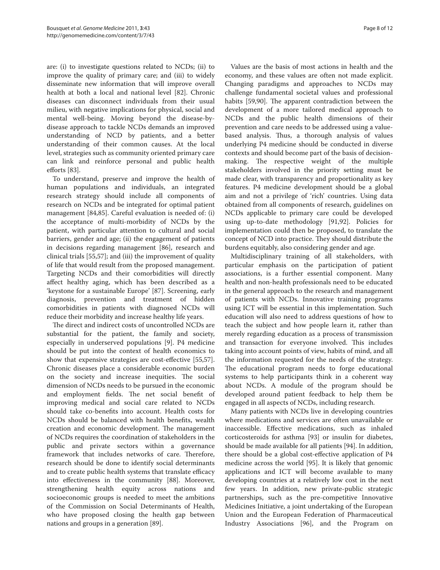are: (i) to investigate questions related to NCDs; (ii) to improve the quality of primary care; and (iii) to widely disseminate new information that will improve overall health at both a local and national level [82]. Chronic diseases can disconnect individuals from their usual milieu, with negative implications for physical, social and mental well-being. Moving beyond the disease-bydisease approach to tackle NCDs demands an improved understanding of NCD by patients, and a better understanding of their common causes. At the local level, strategies such as community oriented primary care can link and reinforce personal and public health efforts [83].

To understand, preserve and improve the health of human populations and individuals, an integrated research strategy should include all components of research on NCDs and be integrated for optimal patient management [84,85]. Careful evaluation is needed of: (i) the acceptance of multi-morbidity of NCDs by the patient, with particular attention to cultural and social barriers, gender and age; (ii) the engagement of patients in decisions regarding management [86], research and clinical trials [55,57]; and (iii) the improvement of quality of life that would result from the proposed management. Targeting NCDs and their comorbidities will directly affect healthy aging, which has been described as a 'keystone for a sustainable Europe' [87]. Screening, early diagnosis, prevention and treatment of hidden comorbidities in patients with diagnosed NCDs will reduce their morbidity and increase healthy life years.

The direct and indirect costs of uncontrolled NCDs are substantial for the patient, the family and society, especially in underserved populations [9]. P4 medicine should be put into the context of health economics to show that expensive strategies are cost-effective [55,57]. Chronic diseases place a considerable economic burden on the society and increase inequities. The social dimension of NCDs needs to be pursued in the economic and employment fields. The net social benefit of improving medical and social care related to NCDs should take co-benefits into account. Health costs for NCDs should be balanced with health benefits, wealth creation and economic development. The management of NCDs requires the coordination of stakeholders in the public and private sectors within a governance framework that includes networks of care. Therefore, research should be done to identify social determinants and to create public health systems that translate efficacy into effectiveness in the community [88]. Moreover, strengthening health equity across nations and socioeconomic groups is needed to meet the ambitions of the Commission on Social Determinants of Health, who have proposed closing the health gap between nations and groups in a generation [89].

Values are the basis of most actions in health and the economy, and these values are often not made explicit. Changing paradigms and approaches to NCDs may challenge fundamental societal values and professional habits [59,90]. The apparent contradiction between the development of a more tailored medical approach to NCDs and the public health dimensions of their prevention and care needs to be addressed using a valuebased analysis. Thus, a thorough analysis of values underlying P4 medicine should be conducted in diverse contexts and should become part of the basis of decisionmaking. The respective weight of the multiple stakeholders involved in the priority setting must be made clear, with transparency and proportionality as key features. P4 medicine development should be a global aim and not a privilege of 'rich' countries. Using data obtained from all components of research, guidelines on NCDs applicable to primary care could be developed using up-to-date methodology [91,92]. Policies for implementation could then be proposed, to translate the concept of NCD into practice. They should distribute the burdens equitably, also considering gender and age.

Multidisciplinary training of all stakeholders, with particular emphasis on the participation of patient associations, is a further essential component. Many health and non-health professionals need to be educated in the general approach to the research and management of patients with NCDs. Innovative training programs using ICT will be essential in this implementation. Such education will also need to address questions of how to teach the subject and how people learn it, rather than merely regarding education as a process of transmission and transaction for everyone involved. This includes taking into account points of view, habits of mind, and all the information requested for the needs of the strategy. The educational program needs to forge educational systems to help participants think in a coherent way about NCDs. A module of the program should be developed around patient feedback to help them be engaged in all aspects of NCDs, including research.

Many patients with NCDs live in developing countries where medications and services are often unavailable or inaccessible. Effective medications, such as inhaled corticosteroids for asthma [93] or insulin for diabetes, should be made available for all patients [94]. In addition, there should be a global cost-effective application of P4 medicine across the world [95]. It is likely that genomic applications and ICT will become available to many developing countries at a relatively low cost in the next few years. In addition, new private-public strategic partnerships, such as the pre-competitive Innovative Medicines Initiative, a joint undertaking of the European Union and the European Federation of Pharmaceutical Industry Associations [96], and the Program on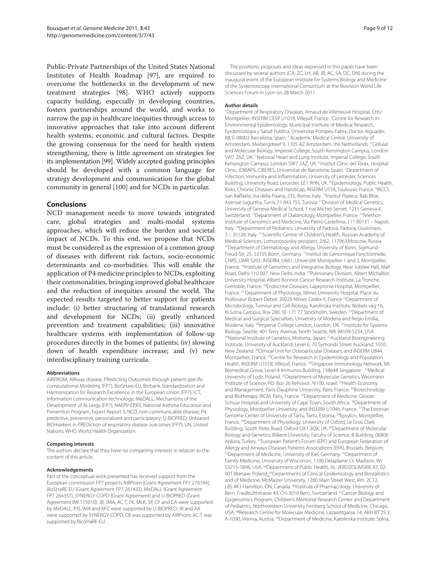Public-Private Partnerships of the United States National Institutes of Health Roadmap [97], are required to overcome the bottlenecks in the development of new treatment strategies [98]. WHO actively supports capacity building, especially in developing countries, fosters partnerships around the world, and works to narrow the gap in healthcare inequities through access to innovative approaches that take into account different health systems, economic and cultural factors. Despite the growing consensus for the need for health system strengthening, there is little agreement on strategies for its implementation [99]. Widely accepted guiding principles should be developed with a common language for strategy development and communication for the global community in general [100] and for NCDs in particular.

# **Conclusions**

NCD management needs to move towards integrated care, global strategies and multi-modal systems approaches, which will reduce the burden and societal impact of NCDs. To this end, we propose that NCDs must be considered as the expression of a common group of diseases with different risk factors, socio-economic determinants and co-morbidities. This will enable the application of P4 medicine principles to NCDs, exploiting their commonalities, bringing improved global healthcare and the reduction of inequities around the world. The expected results targeted to better support for patients include: (i) better structuring of translational research and development for NCDs; (ii) greatly enhanced prevention and treatment capabilities; (iii) innovative healthcare systems with implementation of follow-up procedures directly in the homes of patients; (iv) slowing down of health expenditure increase; and (v) new interdisciplinary training curricula.

#### **Abbreviations**

AIRPROM, AIRway disease, PRedicting Outcomes through patient specific computational Modeling (FP7); BioSHare-EU, Biobank Standardization and Harmonization for Research Excellence in the European Union (FP7); ICT, information communication technology; MeDALL, Mechanisms of the Development of ALLergy (FP7); NAEPP-EPR3, National Asthma Education and Prevention Program, Expert Report 3; NCD, non-communicable disease; P4, predictive, preventive, personalized and participatory; U-BIOPRED, Unbiased BIOmarkers in PREDiction of respiratory disease outcomes (FP7); UN, United Nations; WHO, World Health Organization.

#### **Competing interests**

The authors declare that they have no competing interests in relation to the content of this article.

#### **Acknowledgements**

Part of the conceptual work presented has received support from the European commission FP7 projects AIRProm (Grant Agreement FP7 270194), BioSHaRE-EU (Grant Agreement FP7 261433), MeDALL (Grant Agreement FP7 264357), SYNERGY-COPD (Grant Agreement) and U-BIOPRED (Grant Agreement IMI 115010). JB, JMA, AC-T, FK, MLK, SP, CP and CA were supported by MeDALL; PJS, IMA and KFC were supported by U-BIOPRED; JR and AA were supported by SYNERGY-COPD; CB was supported by AIRProm; AC-T was supported by BioSHaRE-EU.

The positions, proposals and ideas expressed in this paper have been discussed by several authors (CA, ZC, LH, AB, JB, AC, SA, DC, DN) during the inaugural event of the European Institute for Systems Biology and Medicine of the Systemoscope International Consortium at the Biovision World Life Sciences Forum in Lyon on 28 March 2011.

## **Author details**

1 Department of Respiratory Diseases, Arnaud de Villeneuve Hospital, CHU Montpellier, INSERM CESP U1018, Villejuif, France. 2 Centre for Research in Environmental Epidemiology, Municipal Institute of Medical Research, Epidemiologıa y Salud Publica, Universitat Pompeu Fabra, Doctor Aiguader, 88, E-08003 Barcelona, Spain. 3 Academic Medical Centre, University of Amsterdam, Meibergdreef 9, 1105 AZ Amsterdam, the Netherlands. 4 Cellular and Molecular Biology, Imperial College, South Kensington Campus, London SW7 2AZ, UK.<sup>5</sup> National Heart and Lung Institute, Imperial College, South Kensington Campus, London SW7 2AZ, UK. 6 Institut Clínic del Tòrax, Hospital Clínic, IDIBAPS, CIBERES, Universitat de Barcelona, Spain. 7 Department of Infection, Immunity and Inflammation, University of Leicester, Sciences Building, University Road, Leicester, LE1 9HN, UK. 8 Epidemiology, Public Health, Risks, Chronic Diseases and Handicap, INSERM U558, Toulouse, France. <sup>9</sup>IRCCS San Raffaele, Via della Pisana, 235, Rome, Italy. <sup>10</sup>Institut Pasteur, Bab Bhar, Avenue Jugurtha, Tunis, 71 843 755, Tunisia. <sup>11</sup>Division of Medical Genetics. University of Geneva Medical School, 1 rue Michel-Servet, 1211 Geneva 4, Switzerland. 12Department of Diabetology, Montpellier, France. 13Telethon Institute of Genomics and Medicine, Via Pietro Castellino, 111 80131 – Napoli, Italy. 14Department of Pediatrics, University of Padova, Padova, Giustiniani, 3 – 35128, Italy. 15 Scientific Centre of Children's Health, Russian Academy of Medical Sciences, Lomonosovskiy prospect, 2/62, 117963,Moscow, Russia. <sup>16</sup>Department of Dermatology and Allergy, University of Bonn, Sigmund-Freud-Str. 25, 53105 Bonn, Germany. 17Institut de Génomique Fonctionnelle, CNRS, UMR 5203, INSERM, U661, Université Montpellier 1 and 2, Montpellier, France. <sup>18</sup>Institute of Genomics and Integrative Biology, Near Jubilee Hall, Mall Road, Delhi-110 007, New Delhi, India. 19Pulmonary Division, Albert Michallon University Hospital, Albert Bonniot Cancer Research Institute, La Tronche, Grenoble, France. 20Endocrine Diseases, Lapeyronie Hospital, Montpellier, France. 21 Department of Physiology, Nîmes University Hospital, Place du Professeur Robert Debré. 30029 Nîmes Cedex 9, France<sup>22</sup>Department of Microbiology, Tumour and Cell Biology, Karolinska Institute, Nobels väg 16, KI Solna Campus, Box 280, SE-171 77 Stockholm, Sweden. 23Department of Medical and Surgical Specialties, University of Modena and Regio Emilia, Modena, Italy. <sup>24</sup>Imperial College London, London, UK. <sup>25</sup>Institute for Systems Biology, Seattle, 401 Terry Avenue, North Seattle, WA 98109-5234, USA. <sup>26</sup>National Institute of Genetics, Mishima, Japan. <sup>27</sup>Auckland Bioengineering Institute, University of Auckland, Level 6, 70 Symonds Street Auckland, 1010. New Zealand. 28Clinical Unit for Osteoarticular Diseases, and INSERM U844, Montpellier, France. 29Centre for Research in Epidemiology and Population Health, INSERM U1018, Villejuif, France. 30Singapore Immunology Network, 8A Biomedical Grove, Level 4 Immunos Building, 138648 Singapore . 31Medical University of Lodz, Poland. 32Department of Molecular Genetics, Weizmann Institute of Science, P.O. Box 26 Rehovot 76100, Israel. 33Health Economy and Management, Paris-Dauphine University, Paris, France. <sup>34</sup>Biotechnology and Biotherapy, IRCM, Paris, France. <sup>35</sup>Department of Medicine, Groote Schuur Hospital and University of Cape Town, South Africa. <sup>36</sup>Department of Physiology, Montpellier University, and INSERM U1046, France. <sup>37</sup>The Estonian Genome Center of University of Tartu, Tartu, Estonia. 38Epsylon, Montpellier, France. 39Department of Physiology, University of Oxford, Le Gros Clark Building, South Parks Road, Oxford OX1 3QX, UK. 40Department of Molecular Biology and Genetics, Bilkent University, Faculty of Science, B Building, 06800 Ankara, Turkey. 41European Patient's Forum (EPF) and European Federation of Allergy and Airways Diseases Patients Associations (EFA), Brussels, Belgium. 42Department of Medicine, University of Kiel, Germany. 43Department of Family Medicine, University of Wisconsin, 1100 Delaplaine Ct. Madison, WI 53715-1896, USA. 44Department of Public Health, AL. JEROZOLIMSKIE 87, 02- 001 Warsaw, Poland. <sup>45</sup>Departments of Clinical Epidemiology and Biostatistics and of Medicine, McMaster University, 1280 Main Street West, Rm. 2C12, L8S 4K1 Hamilton, ON, Canada. <sup>46</sup>Institute of Pharmacology, University of Bern, Friedbühlstrasse 49, CH-3010 Bern, Switzerland. 47Cancer Biology and Epigenomics Program, Children's Memorial Research Center and Department of Pediatrics, Northwestern University Feinberg School of Medicine, Chicago, USA. 48Research Centre for Molecular Medicine, Lazarettgasse 14, AKH BT 25.3, A-1090, Vienna, Austria. 49Department of Medicine, Karolinska Institute, Solna,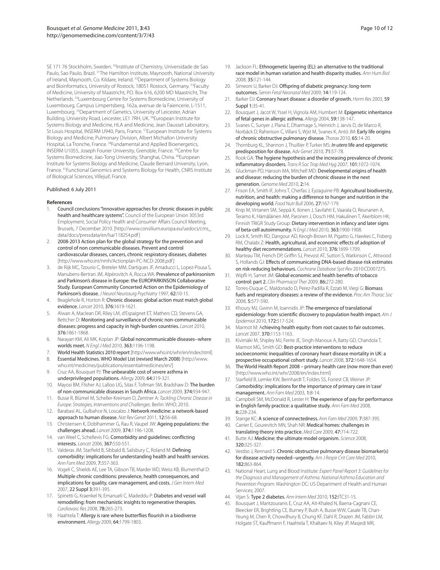SE 171 76 Stockholm, Sweden. <sup>50</sup>Institute of Chemistry, Universidade de Sao Paulo, Sao Paulo, Brazil. <sup>51</sup>The Hamilton Institute, Maynooth, National University of Ireland, Maynooth, Co. Kildare, Ireland. 52Department of Systems Biology and Bioinformatics, University of Rostock, 18051 Rostock, Germany. 53Faculty of Medicine, University of Maastricht, P.O. Box 616, 6200 MD Maastricht, The Netherlands. 54Luxembourg Centre for Systems Biomedicine, University of Luxembourg, Campus Limpertsberg, 162a, avenue de la Faiencerie, L-1511, Luxembourg. 55Department of Genetics, University of Leicester, Adrian Building, University Road, Leicester, LE1 7RH, UK. 56European Institute for Systems Biology and Medicine, HLA and Medicine, Jean Dausset Laboratory, St Louis Hospital, INSERM U940, Paris, France. 57European Institute for Systems Biology and Medicine, Pulmonary Division, Albert Michallon University Hospital, La Tronche, France. 58Fundamental and Applied Bioenergetics, INSERM U1055, Joseph Fourier University, Grenoble, France. 59Centre for Systems Biomedicine, Jiao-Tong University, Shanghai, China. <sup>60</sup>European Institute for Systems Biology and Medicine, Claude Bernard University, Lyon, France. 61Functional Genomics and Systems Biology for Health, CNRS Institute of Biological Sciences, Villejuif, France.

#### Published: 6 July 2011

#### **References**

- 1. Council conclusions "Innovative approaches for chronic diseases in public health and healthcare systems". Council of the European Union 3053rd Employment, Social Policy Health and Consumer Affairs Council Meeting, Brussels, 7 December 2010. [http://www.consilium.europa.eu/uedocs/cms\_ data/docs/pressdata/en/lsa/118254.pdf ]
- 2. 2008-2013 Action plan for the global strategy for the prevention and control of non communicable diseases. Prevent and control cardiovascular diseases, cancers, chronic respiratory diseases, diabetes [http://www.who.int/nmh/Actionplan-PC-NCD-2008.pdf]
- de Rijk MC, Tzourio C, Breteler MM, Dartigues JF, Amaducci L, Lopez-Pousa S, Manubens-Bertran JM, Alpérovitch A, Rocca WA: Prevalence of parkinsonism and Parkinson's disease in Europe: the EUROPARKINSON Collaborative Study. European Community Concerted Action on the Epidemiology of Parkinson's disease. *J Neurol Neurosurg Psychiatry* 1997, 62:10-15.
- Beaglehole R, Horton R: Chronic diseases: global action must match global evidence. *Lancet* 2010, 376:1619-1621.
- 5. Alwan A, Maclean DR, Riley LM, d'Espaignet ET, Mathers CD, Stevens GA, Bettcher D: Monitoring and surveillance of chronic non-communicable diseases: progress and capacity in high-burden countries. *Lancet* 2010, 376:1861-1868.
- 6. Narayan KM, Ali MK, Koplan JP: Global noncommunicable diseases--where worlds meet. *N Engl J Med* 2010, 363:1196-1198.
- World Health Statistics 2010 report [http://www.who.int/whr/en/index.html] 8. Essential Medicines. WHO Model List (revised March 2008) [http://www.
- who.int/medicines/publications/essentialmedicines/en/] 9. Cruz AA, Bousquet PJ: The unbearable cost of severe asthma in
- underprivileged populations. *Allergy* 2009, 64:319-321. 10. Mayosi BM, Flisher AJ, Lalloo UG, Sitas F, Tollman SM, Bradshaw D: The burden
- of non-communicable diseases in South Africa. *Lancet* 2009, 374:934-947.
- 11. Busse R, Blümel M, Scheller-Kreinsen D, Zentner A: *Tackling Chronic Disease in Europe. Strategies, Interventions and Challenges.* Berlin: WHO; 2010.
- 12. Barabasi AL, Gulbahce N, Loscalzo J: Network medicine: a network-based approach to human disease. *Nat Rev Genet* 2011, 12:56-68.
- 13. Christensen K, Doblhammer G, Rau R, Vaupel JW: Ageing populations: the challenges ahead. *Lancet* 2009, 374:1196-1208.
- 14. van Weel C, Schellevis FG: Comorbidity and guidelines: conflicting interests. *Lancet* 2006, 367:550-551.
- 15. Valderas JM, Starfield B, Sibbald B, Salisbury C, Roland M: Defining comorbidity: implications for understanding health and health services. *Ann Fam Med* 2009, 7:357-363.
- 16. Vogeli C, Shields AE, Lee TA, Gibson TB, Marder WD, Weiss KB, Blumenthal D: Multiple chronic conditions: prevalence, health consequences, and implications for quality, care management, and costs. *J Gen Intern Med* 2007, 22 Suppl 3:391-395.
- 17. Spinetti G, Kraenkel N, Emanueli C, Madeddu P: Diabetes and vessel wall remodelling: from mechanistic insights to regenerative therapies. *Cardiovasc Res* 2008, 78:265-273.
- 18. Haahtela T: Allergy is rare where butterflies flourish in a biodiverse environment. *Allergy* 2009, 64:1799-1803.
- 19. Jackson FL: Ethnogenetic layering (EL): an alternative to the traditional race model in human variation and health disparity studies. *Ann Hum Biol* 2008, 35:121-144.
- 20. Simeoni U, Barker DJ: Offspring of diabetic pregnancy: long-term outcomes. *Semin Fetal Neonatal Med* 2009, 14:119-124.
- 21. Barker DJ: Coronary heart disease: a disorder of growth. *Horm Res* 2003, 59 Suppl 1:35-41.
- 22. Bousquet J, Jacot W, Yssel H, Vignola AM, Humbert M: Epigenetic inheritance of fetal genes in allergic asthma. *Allergy* 2004, 59:138-147.
- Svanes C, Sunyer J, Plana E, Dharmage S, Heinrich J, Jarvis D, de Marco R, Norbäck D, Raherison C, Villani S, Wjst M, Svanes K, Antó JM: Early life origins of chronic obstructive pulmonary disease. *Thorax* 2010, 65:14-20.
- 24. Thornburg KL, Shannon J, Thuillier P, Turker MS: *In utero* life and epigenetic predisposition for disease. *Adv Genet* 2010, 71:57-78.
- 25. Rook GA: The hygiene hypothesis and the increasing prevalence of chronic inflammatory disorders. *Trans R Soc Trop Med Hyg* 2007, 101:1072-1074.
- 26. Gluckman PD, Hanson MA, Mitchell MD: Developmental origins of health and disease: reducing the burden of chronic disease in the next generation. *Genome Med* 2010, 2:14.
- 27. Frison EA, Smith IF, Johns T, Cherfas J, Eyzaguirre PB: Agricultural biodiversity, nutrition, and health: making a difference to hunger and nutrition in the developing world. *Food Nutr Bull* 2006, 27:167-179.
- 28. Knip M, Virtanen SM, Seppä K, Ilonen J, Savilahti E, Vaarala O, Reunanen A, Teramo K, Hämäläinen AM, Paronen J, Dosch HM, Hakulinen T, Akerblom HK; Finnish TRIGR Study Group: Dietary intervention in infancy and later signs of beta-cell autoimmunity. *N Engl J Med* 2010, 363:1900-1908.
- 29. Lock K, Smith RD, Dangour AD, Keogh-Brown M, Pigatto G, Hawkes C, Fisberg RM, Chalabi Z: Health, agricultural, and economic effects of adoption of healthy diet recommendations. *Lancet* 2010, 376:1699-1709.
- 30. Marteau TM, French DP, Griffin SJ, Prevost AT, Sutton S, Watkinson C, Attwood S, Hollands GJ: Effects of communicating DNA-based disease risk estimates on risk-reducing behaviours. *Cochrane Database Syst Rev* 2010:CD007275.
- Wipfli H, Samet JM: Global economic and health benefits of tobacco control: part 2. *Clin Pharmacol Ther* 2009, 86:272-280.
- 32. Torres-Duque C, Maldonado D, Perez-Padilla R, Ezzati M, Viegi G: Biomass fuels and respiratory diseases: a review of the evidence. *Proc Am Thorac Soc*  2008, 5:577-590.
- 33. Khoury MJ, Gwinn M, Ioannidis JP: The emergence of translational epidemiology: from scientific discovery to population health impact. *Am J Epidemiol* 2010, 172:517-524.
- 34. Marmot M: Achieving health equity: from root causes to fair outcomes. *Lancet* 2007, 370:1153-1163.
- 35. Kivimäki M, Shipley MJ, Ferrie JE, Singh-Manoux A, Batty GD, Chandola T, Marmot MG, Smith GD: Best-practice interventions to reduce socioeconomic inequalities of coronary heart disease mortality in UK: a prospective occupational cohort study. *Lancet* 2008, 372:1648-1654.
- 36. The World Health Report 2008 primary health care (now more than ever) [http://www.who.int/whr/2008/en/index.html]
- 37. Starfield B, Lemke KW, Bernhardt T, Foldes SS, Forrest CB, Weiner JP: Comorbidity: implications for the importance of primary care in 'case' management. *Ann Fam Med* 2003, 1:8-14.
- 38. Campbell SM, McDonald R, Lester H: The experience of pay for performance in English family practice: a qualitative study. *Ann Fam Med* 2008, 6:228-234.
- 39. Stange KC: A science of connectedness. *Ann Fam Med* 2009, 7:387-395.
- 40. Carrier E, Gourevitch MN, Shah NR: Medical homes: challenges in translating theory into practice. *Med Care* 2009, 47:714-722.
- 41. Butte AJ: Medicine: the ultimate model organism. *Science* 2008, 320:325-327.
- 42. Vestbo J, Rennard S: Chronic obstructive pulmonary disease biomarker(s) for disease activity needed--urgently. *Am J Respir Crit Care Med* 2010, 182:863-864.
- 43. National Heart, Lung and Blood Institute: *Expert Panel Report 3: Guidelines for the Diagnosis and Management of Asthma. National Asthma Education and Prevention Program.* Washington DC: US Department of Health and Human Services; 2007.
- 44. Vijan S: Type 2 diabetes. *Ann Intern Med* 2010, 152:ITC31-15.
- 45. Bousquet J, Mantzouranis E, Cruz AA, Aït-Khaled N, Baena-Cagnani CE, Bleecker ER, Brightling CE, Burney P, Bush A, Busse WW, Casale TB, Chan-Yeung M, Chen R, Chowdhury B, Chung KF, Dahl R, Drazen JM, Fabbri LM, Holgate ST, Kauffmann F, Haahtela T, Khaltaev N, Kiley JP, Masjedi MR,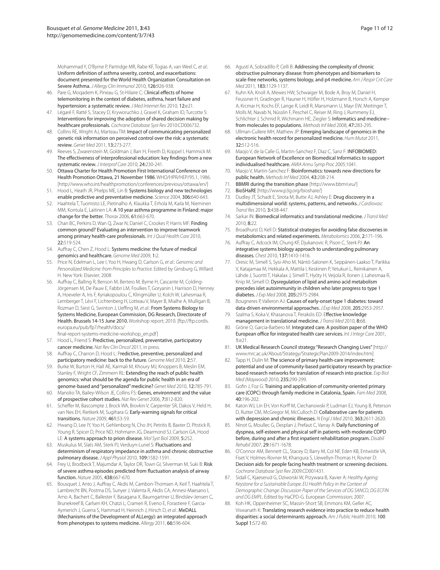Mohammad Y, O'Byrne P, Partridge MR, Rabe KF, Togias A, van Weel C, *et al*.: Uniform definition of asthma severity, control, and exacerbations: document presented for the World Health Organization Consultation on Severe Asthma. *J Allergy Clin Immunol* 2010, 126:926-938.

- 46. Pare G, Moqadem K, Pineau G, St-Hilaire C: Clinical effects of home telemonitoring in the context of diabetes, asthma, heart failure and hypertension: a systematic review. *J Med Internet Res* 2010, 12:e21.
- 47. Légaré F, Ratté S, Stacey D, Kryworuchko J, Gravel K, Graham ID, Turcotte S: Interventions for improving the adoption of shared decision making by healthcare professionals. *Cochrane Database Syst Rev* 2010:CD006732.
- 48. Collins RE, Wright AJ, Marteau TM: Impact of communicating personalized genetic risk information on perceived control over the risk: a systematic review. *Genet Med* 2011, 13:273-277.
- 49. Reeves S, Zwarenstein M, Goldman J, Barr H, Freeth D, Koppel I, Hammick M: The effectiveness of interprofessional education: key findings from a new systematic review. *J Interprof Care* 2010, 24:230-241.
- 50. Ottawa Charter for Health Promotion First International Conference on Health Promotion Ottawa, 21 November 1986. WHO/HPR/HEP/95.1, 1986. [http://www.who.int/healthpromotion/conferences/previous/ottawa/en/]
- 51. Hood L, Heath JR, Phelps ME, Lin B: Systems biology and new technologies enable predictive and preventative medicine. *Science* 2004, 306:640-643.
- 52. Haahtela T, Tuomisto LE, Pietinalho A, Klaukka T, Erhola M, Kaila M, Nieminen MM, Kontula E, Laitinen LA: A 10 year asthma programme in Finland: major change for the better. *Thorax* 2006, 61:663-670.
- 53. Chan BC, Perkins D, Wan Q, Zwar N, Daniel C, Crookes P, Harris MF: Finding common ground? Evaluating an intervention to improve teamwork among primary health-care professionals. *Int J Qual Health Care* 2010, 22:519-524.
- 54. Auffray C, Chen Z, Hood L: Systems medicine: the future of medical genomics and healthcare. *Genome Med* 2009, 1:2.
- 55. Price N, Edelman L, Lee I, Yoo H, Hwang D, Carlson G, *et al*.: *Genomic and Personalized Medicine: from Principles to Practice.* Edited by Ginsburg G, Willard H. New York: Elsevier; 2008
- 56. Auffray C, Balling R, Benson M, Bertero M, Byrne H, Cascante M, Colding-Jörgensen M, De Pauw E, Fabbri LM, Foulkes T, Goryanin I, Harrison D, Henney A, Hoeveler A, Iris F, Kyriakopoulou C, Klingmüller U, Kolch W, Lahesmaa R, Lemberger T, Lévi F, Lichtenberg H, Lotteau V, Mayer B, Mialhe A, Mulligan B, Rozman D, Siest G, Swinton J, Ueffing M, *et al.*: From Systems Biology to Systems Medicine, European Commission, DG Research, Directorate of Health. Brussels 14-15 June 2010. Workshop report; 2010. [ftp://ftp.cordis. europa.eu/pub/fp7/health/docs/

final-report-systems-medicine-workshop\_en.pdf ]

- 57. Hood L, Friend S: Predictive, personalized, preventative, participatory cancer medicine. *Nat Rev Clin Oncol* 2011, in press.
- Auffray C, Charron D, Hood L: Predictive, preventive, personalized and participatory medicine: back to the future. *Genome Med* 2010, 2:57.
- 59. Burke W, Burton H, Hall AE, Karmali M, Khoury MJ, Knoppers B, Meslin EM, Stanley F, Wright CF, Zimmern RL: Extending the reach of public health genomics: what should be the agenda for public health in an era of genome-based and "personalized" medicine? *Genet Med* 2010, 12:785-791.
- 60. Manolio TA, Bailey-Wilson JE, Collins FS: Genes, environment and the value of prospective cohort studies. *Nat Rev Genet* 2006, 7:812-820.
- 61. Scheffer M, Bascompte J, Brock WA, Brovkin V, Carpenter SR, Dakos V, Held H, van Nes EH, Rietkerk M, Sugihara G: Early-warning signals for critical transitions. *Nature* 2009, 461:53-59.
- 62. Hwang D, Lee IY, Yoo H, Gehlenborg N, Cho JH, Petritis B, Baxter D, Pitstick R, Young R, Spicer D, Price ND, Hohmann JG, Dearmond SJ, Carlson GA, Hood LE: A systems approach to prion disease. *Mol Syst Biol* 2009, 5:252.
- 63. Muskulus M, Slats AM, Sterk PJ, Verduyn-Lunel S: Fluctuations and determinism of respiratory impedance in asthma and chronic obstructive pulmonary disease. *J Appl Physiol* 2010, 109:1582-1591.
- 64. Frey U, Brodbeck T, Majumdar A, Taylor DR, Town GI, Silverman M, Suki B: Risk of severe asthma episodes predicted from fluctuation analysis of airway function. *Nature* 2005, 438:667-670.
- 65. Bousquet J, Anto J, Auffray C, Akdis M, Cambon-Thomsen A, Keil T, Haahtela T, Lambrecht BN, Postma DS, Sunyer J, Valenta R, Akdis CA, Annesi-Maesano I, Arno A, Bachert C, Ballester F, Basagana X, Baumgartner U, Bindslev-Jensen C, Brunekreef B, Carlsen KH, Chatzi L, Crameri R, Eveno E, Forastiere F, Garcia-Aymerich J, Guerra S, Hammad H, Heinrich J, Hirsch D, *et al.*: MeDALL (Mechanisms of the Development of ALLergy): an integrated approach from phenotypes to systems medicine. *Allergy* 2011, 66:596-604.
- 66. Agustí A, Sobradillo P, Celli B: Addressing the complexity of chronic obstructive pulmonary disease: from phenotypes and biomarkers to scale-free networks, systems biology, and p4 medicine. *Am J Respir Crit Care Med* 2011, 183:1129-1137.
- 67. Kuhn KA, Knoll A, Mewes HW, Schwaiger M, Bode A, Broy M, Daniel H, Feussner H, Gradinger R, Hauner H, Höfler H, Holzmann B, Horsch A, Kemper A, Krcmar H, Kochs EF, Lange R, Leidl R, Mansmann U, Mayr EW, Meitinger T, Molls M, Navab N, Nüsslin F, Peschel C, Reiser M, Ring J, Rummeny EJ, Schlichter J, Schmid R, Wichmann HE, Ziegler S: Informatics and medicine-from molecules to populations. *Methods Inf Med* 2008, 47:283-295.
- 68. Ullman-Cullere MH, Mathew JP: Emerging landscape of genomics in the electronic health record for personalized medicine. *Hum Mutat* 2011, 32:512-516.
- 69. Maojo V, de la Calle G, Martin-Sanchez F, Diaz C, Sanz F: INFOBIOMED: European Network of Excellence on Biomedical Informatics to support individualised healthcare. *AMIA Annu Symp Proc* 2005:1041.
- Maojo V, Martin-Sanchez F: Bioinformatics: towards new directions for public health. *Methods Inf Med* 2004, 43:208-214.
- 71. BBMRI during the transition phase [http://www.bbmri.eu/]
- 72. BioSHaRE [http://www.p3g.org/bioshare/]
- 73. Dudley JT, Schadt E, Sirota M, Butte AJ, Ashley E: Drug discovery in a multidimensional world: systems, patterns, and networks. *J Cardiovasc Transl Res* 2010, 3:438-447.
- 74. Sarkar IN: Biomedical informatics and translational medicine. *J Transl Med*  2010, 8:22.
- 75. Broadhurst D, Kell D: Statistical strategies for avoiding false discoveries in metabolomics and related experiments. *Metabolomics* 2006, 2:171-196.
- 76. Auffray C, Adcock IM, Chung KF, Djukanovic R, Pison C, Sterk PJ: An integrative systems biology approach to understanding pulmonary diseases. *Chest* 2010, 137:1410-1416.
- 77. Oresic M, Simell S, Sysi-Aho M, Näntö-Salonen K, Seppänen-Laakso T, Parikka V, Katajamaa M, Hekkala A, Mattila I, Keskinen P, Yetukuri L, Reinikainen A, Lähde J, Suortti T, Hakalax J, Simell T, Hyöty H, Veijola R, Ilonen J, Lahesmaa R, Knip M, Simell O: Dysregulation of lipid and amino acid metabolism precedes islet autoimmunity in children who later progress to type 1 diabetes. *J Exp Med* 2008, 205:2975-2984.
- 78. Bougneres P, Valleron AJ: Causes of early-onset type 1 diabetes: toward data-driven environmental approaches. *J Exp Med* 2008, 205:2953-2957.
- 79. Szalma S, Koka V, Khasanova T, Perakslis ED: Effective knowledge management in translational medicine. *J Transl Med* 2010, 8:68.
- 80. Gröne O, Garcia-Barbero M: Integrated care. A position paper of the WHO European office for integrated health care services. *Int J Integr Care* 2001, 1:e21.
- 81. UK Medical Research Council strategy "Research Changing Lives" [http:// www.mrc.ac.uk/About/Strategy/StrategicPlan2009-2014/index.htm]
- 82. Tapp H, Dulin M: The science of primary health-care improvement: potential and use of community-based participatory research by practicebased research networks for translation of research into practice. *Exp Biol Med (Maywood)* 2010, 235:290-299.
- 83. Gofin J, Foz G: Training and application of community-oriented primary care (COPC) through family medicine in Catalonia, Spain. *Fam Med* 2008, 40:196-202.
- 84. Katon WJ, Lin EH, Von Korff M, Ciechanowski P, Ludman EJ, Young B, Peterson D, Rutter CM, McGregor M, McCulloch D: Collaborative care for patients with depression and chronic illnesses. *N Engl J Med* 2010, 363:2611-2620.
- 85. Ninot G, Moullec G, Desplan J, Prefaut C, Varray A: Daily functioning of dyspnea, self-esteem and physical self in patients with moderate COPD before, during and after a first inpatient rehabilitation program. *Disabil Rehabil* 2007, 29:1671-1678.
- 86. O'Connor AM, Bennett CL, Stacey D, Barry M, Col NF, Eden KB, Entwistle VA, Fiset V, Holmes-Rovner M, Khangura S, Llewellyn-Thomas H, Rovner D: Decision aids for people facing health treatment or screening decisions. *Cochrane Database Syst Rev* 2009:CD001431.
- 87. Sidall C, Kjaeserud G, Dziworski W, Przywara B, Xavier A: *Healthy Ageing: Keystone for a Sustainable Europe. EU Health Policy in the Context of Demographic Change: Discussion Paper of the Services of DG SANCO, DG ECFIN and DG EMPL*. Edited by HaCPD-G. European Commission; 2007.
- 88. Koh HK, Oppenheimer SC, Massin-Short SB, Emmons KM, Geller AC, Viswanath K: Translating research evidence into practice to reduce health disparities: a social determinants approach. *Am J Public Health* 2010, 100 Suppl 1:S72-80.